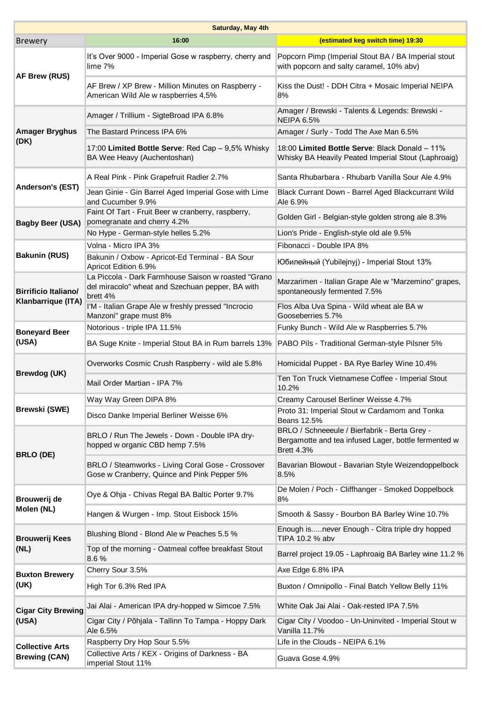| Saturday, May 4th                              |                                                                                                                     |                                                                                                                            |  |  |
|------------------------------------------------|---------------------------------------------------------------------------------------------------------------------|----------------------------------------------------------------------------------------------------------------------------|--|--|
| <b>Brewery</b>                                 | 16:00                                                                                                               | (estimated keg switch time) 19:30                                                                                          |  |  |
| <b>AF Brew (RUS)</b>                           | It's Over 9000 - Imperial Gose w raspberry, cherry and<br>lime 7%                                                   | Popcorn Pimp (Imperial Stout BA / BA Imperial stout<br>with popcorn and salty caramel, 10% abv)                            |  |  |
|                                                | AF Brew / XP Brew - Million Minutes on Raspberry -<br>American Wild Ale w raspberries 4,5%                          | Kiss the Dust! - DDH Citra + Mosaic Imperial NEIPA<br>8%                                                                   |  |  |
| <b>Amager Bryghus</b><br>(DK)                  | Amager / Trillium - SigteBroad IPA 6.8%                                                                             | Amager / Brewski - Talents & Legends: Brewski -<br><b>NEIPA 6.5%</b>                                                       |  |  |
|                                                | The Bastard Princess IPA 6%                                                                                         | Amager / Surly - Todd The Axe Man 6.5%                                                                                     |  |  |
|                                                | 17:00 Limited Bottle Serve: Red Cap - 9,5% Whisky<br>BA Wee Heavy (Auchentoshan)                                    | 18:00 Limited Bottle Serve: Black Donald - 11%<br>Whisky BA Heavily Peated Imperial Stout (Laphroaig)                      |  |  |
|                                                | A Real Pink - Pink Grapefruit Radler 2.7%                                                                           | Santa Rhubarbara - Rhubarb Vanilla Sour Ale 4.9%                                                                           |  |  |
| Anderson's (EST)                               | Jean Ginie - Gin Barrel Aged Imperial Gose with Lime<br>and Cucumber 9.9%                                           | Black Currant Down - Barrel Aged Blackcurrant Wild<br>Ale 6.9%                                                             |  |  |
|                                                | Faint Of Tart - Fruit Beer w cranberry, raspberry,                                                                  | Golden Girl - Belgian-style golden strong ale 8.3%                                                                         |  |  |
| <b>Bagby Beer (USA)</b>                        | pomegranate and cherry 4.2%<br>No Hype - German-style helles 5.2%                                                   | Lion's Pride - English-style old ale 9.5%                                                                                  |  |  |
|                                                | Volna - Micro IPA 3%                                                                                                | Fibonacci - Double IPA 8%                                                                                                  |  |  |
| <b>Bakunin (RUS)</b>                           | Bakunin / Oxbow - Apricot-Ed Terminal - BA Sour<br>Apricot Edition 6.9%                                             | Юбилейный (Yubilejnyj) - Imperial Stout 13%                                                                                |  |  |
| Birrificio Italiano/                           | La Piccola - Dark Farmhouse Saison w roasted "Grano<br>del miracolo" wheat and Szechuan pepper, BA with<br>brett 4% | Marzarimen - Italian Grape Ale w "Marzemino" grapes,<br>spontaneously fermented 7.5%                                       |  |  |
| Klanbarrique (ITA)                             | I'M - Italian Grape Ale w freshly pressed "Incrocio<br>Manzoni" grape must 8%                                       | Flos Alba Uva Spina - Wild wheat ale BA w<br>Gooseberries 5.7%                                                             |  |  |
| <b>Boneyard Beer</b>                           | Notorious - triple IPA 11.5%                                                                                        | Funky Bunch - Wild Ale w Raspberries 5.7%                                                                                  |  |  |
| (USA)                                          | BA Suge Knite - Imperial Stout BA in Rum barrels 13%                                                                | PABO Pils - Traditional German-style Pilsner 5%                                                                            |  |  |
| <b>Brewdog (UK)</b>                            | Overworks Cosmic Crush Raspberry - wild ale 5.8%                                                                    | Homicidal Puppet - BA Rye Barley Wine 10.4%                                                                                |  |  |
|                                                | Mail Order Martian - IPA 7%                                                                                         | Ten Ton Truck Vietnamese Coffee - Imperial Stout<br>10.2%                                                                  |  |  |
|                                                | Way Way Green DIPA 8%                                                                                               | Creamy Carousel Berliner Weisse 4.7%                                                                                       |  |  |
| <b>Brewski (SWE)</b>                           | Disco Danke Imperial Berliner Weisse 6%                                                                             | Proto 31: Imperial Stout w Cardamom and Tonka<br>Beans 12.5%                                                               |  |  |
| <b>BRLO (DE)</b>                               | BRLO / Run The Jewels - Down - Double IPA dry-<br>hopped w organic CBD hemp 7.5%                                    | BRLO / Schneeeule / Bierfabrik - Berta Grey -<br>Bergamotte and tea infused Lager, bottle fermented w<br><b>Brett 4.3%</b> |  |  |
|                                                | BRLO / Steamworks - Living Coral Gose - Crossover<br>Gose w Cranberry, Quince and Pink Pepper 5%                    | Bavarian Blowout - Bavarian Style Weizendoppelbock<br>8.5%                                                                 |  |  |
| Brouwerij de                                   | Oye & Ohja - Chivas Regal BA Baltic Porter 9.7%                                                                     | De Molen / Poch - Cliffhanger - Smoked Doppelbock<br>8%                                                                    |  |  |
| Molen (NL)                                     | Hangen & Wurgen - Imp. Stout Eisbock 15%                                                                            | Smooth & Sassy - Bourbon BA Barley Wine 10.7%                                                                              |  |  |
| <b>Brouwerij Kees</b>                          | Blushing Blond - Blond Ale w Peaches 5.5 %                                                                          | Enough isnever Enough - Citra triple dry hopped<br>TIPA 10.2 % abv                                                         |  |  |
| (NL)                                           | Top of the morning - Oatmeal coffee breakfast Stout<br>8.6%                                                         | Barrel project 19.05 - Laphroaig BA Barley wine 11.2 %                                                                     |  |  |
| <b>Buxton Brewery</b>                          | Cherry Sour 3.5%                                                                                                    | Axe Edge 6.8% IPA                                                                                                          |  |  |
| (UK)                                           | High Tor 6.3% Red IPA                                                                                               | Buxton / Omnipollo - Final Batch Yellow Belly 11%                                                                          |  |  |
| <b>Cigar City Brewing</b><br>(USA)             | Jai Alai - American IPA dry-hopped w Simcoe 7.5%                                                                    | White Oak Jai Alai - Oak-rested IPA 7.5%                                                                                   |  |  |
|                                                | Cigar City / Põhjala - Tallinn To Tampa - Hoppy Dark<br>Ale 6.5%                                                    | Cigar City / Voodoo - Un-Uninvited - Imperial Stout w<br>Vanilla 11.7%                                                     |  |  |
| <b>Collective Arts</b><br><b>Brewing (CAN)</b> | Raspberry Dry Hop Sour 5.5%                                                                                         | Life in the Clouds - NEIPA 6.1%                                                                                            |  |  |
|                                                | Collective Arts / KEX - Origins of Darkness - BA<br>imperial Stout 11%                                              | Guava Gose 4.9%                                                                                                            |  |  |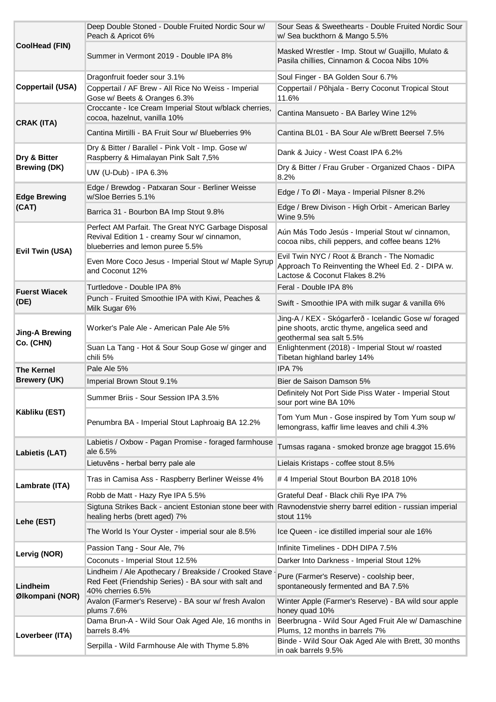|                                     | Deep Double Stoned - Double Fruited Nordic Sour w/<br>Peach & Apricot 6%                                                               | Sour Seas & Sweethearts - Double Fruited Nordic Sour<br>w/ Sea buckthorn & Mango 5.5%                                             |
|-------------------------------------|----------------------------------------------------------------------------------------------------------------------------------------|-----------------------------------------------------------------------------------------------------------------------------------|
| <b>CoolHead (FIN)</b>               | Summer in Vermont 2019 - Double IPA 8%                                                                                                 | Masked Wrestler - Imp. Stout w/ Guajillo, Mulato &<br>Pasila chillies, Cinnamon & Cocoa Nibs 10%                                  |
|                                     | Dragonfruit foeder sour 3.1%                                                                                                           | Soul Finger - BA Golden Sour 6.7%                                                                                                 |
| Coppertail (USA)                    | Coppertail / AF Brew - All Rice No Weiss - Imperial<br>Gose w/ Beets & Oranges 6.3%                                                    | Coppertail / Põhjala - Berry Coconut Tropical Stout<br>11.6%                                                                      |
| <b>CRAK (ITA)</b>                   | Croccante - Ice Cream Imperial Stout w/black cherries,<br>cocoa, hazelnut, vanilla 10%                                                 | Cantina Mansueto - BA Barley Wine 12%                                                                                             |
|                                     | Cantina Mirtilli - BA Fruit Sour w/ Blueberries 9%                                                                                     | Cantina BL01 - BA Sour Ale w/Brett Beersel 7.5%                                                                                   |
| Dry & Bitter<br><b>Brewing (DK)</b> | Dry & Bitter / Barallel - Pink Volt - Imp. Gose w/<br>Raspberry & Himalayan Pink Salt 7,5%                                             | Dank & Juicy - West Coast IPA 6.2%                                                                                                |
|                                     | UW (U-Dub) - IPA 6.3%                                                                                                                  | Dry & Bitter / Frau Gruber - Organized Chaos - DIPA<br>8.2%                                                                       |
| <b>Edge Brewing</b>                 | Edge / Brewdog - Patxaran Sour - Berliner Weisse<br>w/Sloe Berries 5.1%                                                                | Edge / To Øl - Maya - Imperial Pilsner 8.2%                                                                                       |
| (CAT)                               | Barrica 31 - Bourbon BA Imp Stout 9.8%                                                                                                 | Edge / Brew Divison - High Orbit - American Barley<br>Wine 9.5%                                                                   |
| Evil Twin (USA)                     | Perfect AM Parfait. The Great NYC Garbage Disposal<br>Revival Edition 1 - creamy Sour w/ cinnamon,<br>blueberries and lemon puree 5.5% | Aún Más Todo Jesús - Imperial Stout w/ cinnamon,<br>cocoa nibs, chili peppers, and coffee beans 12%                               |
|                                     | Even More Coco Jesus - Imperial Stout w/ Maple Syrup<br>and Coconut 12%                                                                | Evil Twin NYC / Root & Branch - The Nomadic<br>Approach To Reinventing the Wheel Ed. 2 - DIPA w.<br>Lactose & Coconut Flakes 8.2% |
| <b>Fuerst Wiacek</b>                | Turtledove - Double IPA 8%                                                                                                             | Feral - Double IPA 8%                                                                                                             |
| (DE)                                | Punch - Fruited Smoothie IPA with Kiwi, Peaches &<br>Milk Sugar 6%                                                                     | Swift - Smoothie IPA with milk sugar & vanilla 6%                                                                                 |
| <b>Jing-A Brewing</b>               | Worker's Pale Ale - American Pale Ale 5%                                                                                               | Jing-A / KEX - Skógarferð - Icelandic Gose w/ foraged<br>pine shoots, arctic thyme, angelica seed and<br>geothermal sea salt 5.5% |
| Co. (CHN)                           | Suan La Tang - Hot & Sour Soup Gose w/ ginger and<br>chili 5%                                                                          | Enlightenment (2018) - Imperial Stout w/ roasted<br>Tibetan highland barley 14%                                                   |
| <b>The Kernel</b>                   | Pale Ale 5%                                                                                                                            | <b>IPA 7%</b>                                                                                                                     |
| <b>Brewery (UK)</b>                 | Imperial Brown Stout 9.1%                                                                                                              | Bier de Saison Damson 5%                                                                                                          |
| Käbliku (EST)                       | Summer Briis - Sour Session IPA 3.5%                                                                                                   | Definitely Not Port Side Piss Water - Imperial Stout<br>sour port wine BA 10%                                                     |
|                                     | Penumbra BA - Imperial Stout Laphroaig BA 12.2%                                                                                        | Tom Yum Mun - Gose inspired by Tom Yum soup w/<br>lemongrass, kaffir lime leaves and chili 4.3%                                   |
| Labietis (LAT)                      | Labietis / Oxbow - Pagan Promise - foraged farmhouse<br>ale 6.5%                                                                       | Tumsas ragana - smoked bronze age braggot 15.6%                                                                                   |
|                                     | Lietuvēns - herbal berry pale ale                                                                                                      | Lielais Kristaps - coffee stout 8.5%                                                                                              |
| Lambrate (ITA)                      | Tras in Camisa Ass - Raspberry Berliner Weisse 4%                                                                                      | #4 Imperial Stout Bourbon BA 2018 10%                                                                                             |
|                                     | Robb de Matt - Hazy Rye IPA 5.5%                                                                                                       | Grateful Deaf - Black chili Rye IPA 7%                                                                                            |
| Lehe (EST)                          | Sigtuna Strikes Back - ancient Estonian stone beer with<br>healing herbs (brett aged) 7%                                               | Ravnodenstvie sherry barrel edition - russian imperial<br>stout 11%                                                               |
|                                     | The World Is Your Oyster - imperial sour ale 8.5%                                                                                      | Ice Queen - ice distilled imperial sour ale 16%                                                                                   |
| Lervig (NOR)                        | Passion Tang - Sour Ale, 7%                                                                                                            | Infinite Timelines - DDH DIPA 7.5%                                                                                                |
|                                     | Coconuts - Imperial Stout 12.5%                                                                                                        | Darker Into Darkness - Imperial Stout 12%                                                                                         |
| Lindheim<br>Ølkompani (NOR)         | Lindheim / Ale Apothecary / Breakside / Crooked Stave<br>Red Feet (Friendship Series) - BA sour with salt and<br>40% cherries 6.5%     | Pure (Farmer's Reserve) - coolship beer,<br>spontaneously fermented and BA 7.5%                                                   |
|                                     | Avalon (Farmer's Reserve) - BA sour w/ fresh Avalon<br>plums 7.6%                                                                      | Winter Apple (Farmer's Reserve) - BA wild sour apple<br>honey quad 10%                                                            |
| Loverbeer (ITA)                     | Dama Brun-A - Wild Sour Oak Aged Ale, 16 months in<br>barrels 8.4%                                                                     | Beerbrugna - Wild Sour Aged Fruit Ale w/ Damaschine<br>Plums, 12 months in barrels 7%                                             |
|                                     | Serpilla - Wild Farmhouse Ale with Thyme 5.8%                                                                                          | Binde - Wild Sour Oak Aged Ale with Brett, 30 months<br>in oak barrels 9.5%                                                       |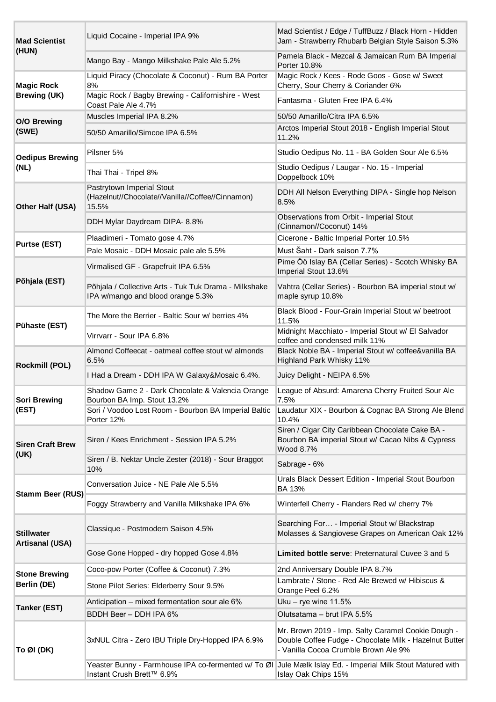| <b>Mad Scientist</b><br>(HUN)               | Liquid Cocaine - Imperial IPA 9%                                                           | Mad Scientist / Edge / TuffBuzz / Black Horn - Hidden<br>Jam - Strawberry Rhubarb Belgian Style Saison 5.3%                                          |
|---------------------------------------------|--------------------------------------------------------------------------------------------|------------------------------------------------------------------------------------------------------------------------------------------------------|
|                                             | Mango Bay - Mango Milkshake Pale Ale 5.2%                                                  | Pamela Black - Mezcal & Jamaican Rum BA Imperial<br>Porter 10.8%                                                                                     |
| <b>Magic Rock</b><br><b>Brewing (UK)</b>    | Liquid Piracy (Chocolate & Coconut) - Rum BA Porter<br>8%                                  | Magic Rock / Kees - Rode Goos - Gose w/ Sweet<br>Cherry, Sour Cherry & Coriander 6%                                                                  |
|                                             | Magic Rock / Bagby Brewing - Californishire - West<br>Coast Pale Ale 4.7%                  | Fantasma - Gluten Free IPA 6.4%                                                                                                                      |
| <b>O/O Brewing</b><br>(SWE)                 | Muscles Imperial IPA 8.2%                                                                  | 50/50 Amarillo/Citra IPA 6.5%                                                                                                                        |
|                                             | 50/50 Amarillo/Simcoe IPA 6.5%                                                             | Arctos Imperial Stout 2018 - English Imperial Stout<br>11.2%                                                                                         |
| <b>Oedipus Brewing</b><br>(NL)              | Pilsner 5%                                                                                 | Studio Oedipus No. 11 - BA Golden Sour Ale 6.5%                                                                                                      |
|                                             | Thai Thai - Tripel 8%                                                                      | Studio Oedipus / Laugar - No. 15 - Imperial<br>Doppelbock 10%                                                                                        |
| Other Half (USA)                            | Pastrytown Imperial Stout<br>(Hazelnut//Chocolate//Vanilla//Coffee//Cinnamon)<br>15.5%     | DDH All Nelson Everything DIPA - Single hop Nelson<br>8.5%                                                                                           |
|                                             | DDH Mylar Daydream DIPA- 8.8%                                                              | Observations from Orbit - Imperial Stout<br>(Cinnamon//Coconut) 14%                                                                                  |
| <b>Purtse (EST)</b>                         | Plaadimeri - Tomato gose 4.7%                                                              | Cicerone - Baltic Imperial Porter 10.5%                                                                                                              |
|                                             | Pale Mosaic - DDH Mosaic pale ale 5.5%                                                     | Must Šaht - Dark saison 7.7%                                                                                                                         |
|                                             | Virmalised GF - Grapefruit IPA 6.5%                                                        | Pime Öö Islay BA (Cellar Series) - Scotch Whisky BA<br>Imperial Stout 13.6%                                                                          |
| Põhjala (EST)                               | Põhjala / Collective Arts - Tuk Tuk Drama - Milkshake<br>IPA w/mango and blood orange 5.3% | Vahtra (Cellar Series) - Bourbon BA imperial stout w/<br>maple syrup 10.8%                                                                           |
| Pühaste (EST)                               | The More the Berrier - Baltic Sour w/ berries 4%                                           | Black Blood - Four-Grain Imperial Stout w/ beetroot<br>11.5%                                                                                         |
|                                             | Virrvarr - Sour IPA 6.8%                                                                   | Midnight Macchiato - Imperial Stout w/ El Salvador<br>coffee and condensed milk 11%                                                                  |
| Rockmill (POL)                              | Almond Coffeecat - oatmeal coffee stout w/ almonds<br>6.5%                                 | Black Noble BA - Imperial Stout w/ coffee&vanilla BA<br>Highland Park Whisky 11%                                                                     |
|                                             | I Had a Dream - DDH IPA W Galaxy&Mosaic 6.4%.                                              | Juicy Delight - NEIPA 6.5%                                                                                                                           |
| <b>Sori Brewing</b>                         | Shadow Game 2 - Dark Chocolate & Valencia Orange<br>Bourbon BA Imp. Stout 13.2%            | League of Absurd: Amarena Cherry Fruited Sour Ale<br>7.5%                                                                                            |
| (EST)                                       | Sori / Voodoo Lost Room - Bourbon BA Imperial Baltic<br>Porter 12%                         | Laudatur XIX - Bourbon & Cognac BA Strong Ale Blend<br>10.4%                                                                                         |
| <b>Siren Craft Brew</b><br>(UK)             | Siren / Kees Enrichment - Session IPA 5.2%                                                 | Siren / Cigar City Caribbean Chocolate Cake BA -<br>Bourbon BA imperial Stout w/ Cacao Nibs & Cypress<br>Wood 8.7%                                   |
|                                             | Siren / B. Nektar Uncle Zester (2018) - Sour Braggot<br>10%                                | Sabrage - 6%                                                                                                                                         |
| <b>Stamm Beer (RUS)</b>                     | Conversation Juice - NE Pale Ale 5.5%                                                      | Urals Black Dessert Edition - Imperial Stout Bourbon<br><b>BA 13%</b>                                                                                |
|                                             | Foggy Strawberry and Vanilla Milkshake IPA 6%                                              | Winterfell Cherry - Flanders Red w/ cherry 7%                                                                                                        |
| <b>Stillwater</b><br><b>Artisanal (USA)</b> | Classique - Postmodern Saison 4.5%                                                         | Searching For - Imperial Stout w/ Blackstrap<br>Molasses & Sangiovese Grapes on American Oak 12%                                                     |
|                                             | Gose Gone Hopped - dry hopped Gose 4.8%                                                    | Limited bottle serve: Preternatural Cuvee 3 and 5                                                                                                    |
| <b>Stone Brewing</b>                        | Coco-pow Porter (Coffee & Coconut) 7.3%                                                    | 2nd Anniversary Double IPA 8.7%                                                                                                                      |
| Berlin (DE)                                 | Stone Pilot Series: Elderberry Sour 9.5%                                                   | Lambrate / Stone - Red Ale Brewed w/ Hibiscus &<br>Orange Peel 6.2%                                                                                  |
| <b>Tanker (EST)</b>                         | Anticipation - mixed fermentation sour ale 6%                                              | Uku - rye wine 11.5%                                                                                                                                 |
|                                             | BDDH Beer - DDH IPA 6%                                                                     | Olutsatama - brut IPA 5.5%                                                                                                                           |
| To Øl (DK)                                  | 3xNUL Citra - Zero IBU Triple Dry-Hopped IPA 6.9%                                          | Mr. Brown 2019 - Imp. Salty Caramel Cookie Dough -<br>Double Coffee Fudge - Chocolate Milk - Hazelnut Butter<br>- Vanilla Cocoa Crumble Brown Ale 9% |
|                                             | Yeaster Bunny - Farmhouse IPA co-fermented w/ To Øl<br>Instant Crush Brett™ 6.9%           | Jule Mælk Islay Ed. - Imperial Milk Stout Matured with<br>Islay Oak Chips 15%                                                                        |